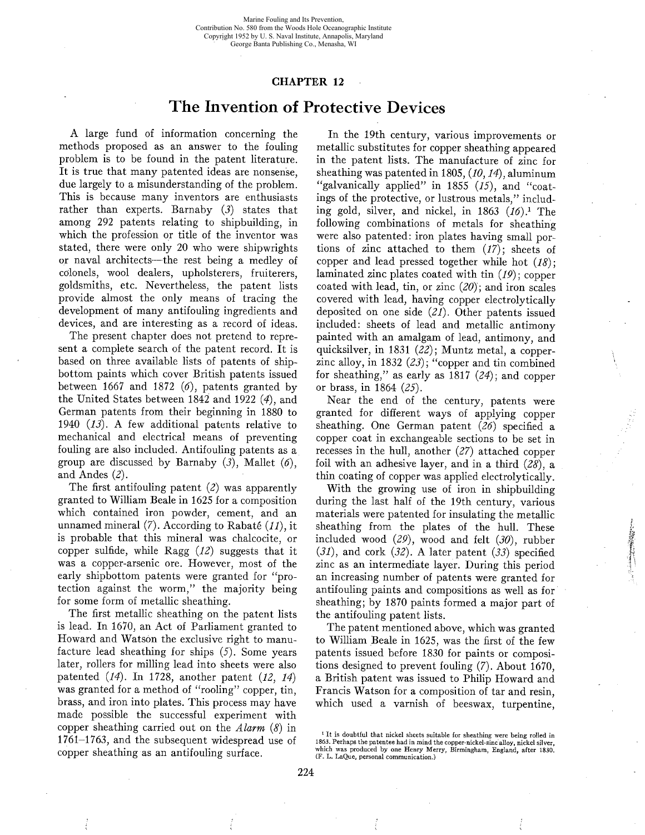## CHAPTER 12

## The Invention of Protective Devices

A large fund of information concerning the methods proposed as an answer to the fouling problem is to be found in the patent literature. It is true that many patented ideas are nonsense, due largely to a misunderstanding of the problem. This is because many inventors are enthusiasts rather than experts. Barnaby (3) states that among 292 patents relating to shipbuilding, in which the profession or title of the inventor was stated, there were only 20 who were shipwrights or naval architects-the rest being a medley of côlonels, wool dealers, upholsterers, fruiterers, goldsmiths, etc. Nevertheless, the patent lists provide almost the only means of tracing the development of many antifouling ingredients and devices, and are interesting as a record of ideas.

The present chapter does not pretend to represent a complete search of the patent record. It is based on three available lists of patents of shipbottom paints which cover British patents issued between 1667 and 1872  $(6)$ , patents granted by the United States between 1842 and 1922 (4), and German patents from their beginning in 1880 to 1940 (13). A few additional patents relative to mechanical and electrical means of preventing fouling are also included. Antifouling patents as a group are discussed by Barnaby  $(3)$ , Mallet  $(6)$ , and Andes (2).

The first antifouling patent  $(2)$  was apparently granted to Wiliam Beale in 1625 for a composition which contained iron powder, cement, and an unnamed mineral  $(7)$ . According to Rabaté  $(11)$ , it is probable that this mineral was chalcocite, or copper sulfide, while Ragg  $(12)$  suggests that it was a copper-arsenic ore. However, most of the early shipbottom patents were granted for "protection against the worm," the majority being for some form of metallic sheathing.

The first metallic sheathing on the patent lists is lead. In 1670, an Act of Parliament granted to Howard and Watson the exclusive right to manufacture lead sheathing for ships (5). Some years later, rollers for miling lead into sheets were also patented  $(14)$ . In 1728, another patent  $(12, 14)$ was granted for a method of "rooling" copper, tin, brass, and iron into plates. This process may have made possible the successful experiment with copper sheathing carried out on the Alarm  $(8)$  in 1761-1763, and the subsequent widespread use of copper sheathing as an antifouling surface.

In the 19th century, various improvements or metallic substitutes for copper sheathing appeared in the patent lists. The manufacture of zinc for sheathing was patented in 1805,  $(10, 14)$ , aluminum "galvanically applied" in 1855  $(15)$ , and "coatings of the protective, or lustrous metals," including gold, silver, and nickel, in  $1863$   $(16).$ <sup>1</sup> The following combinations of metals for sheathing were also patented: iron plates having small portions of zinc attached to them  $(17)$ ; sheets of copper and lead pressed together while hot  $(18)$ ; laminated zinc plates coated with tin (19); copper coated with lead, tin, or zinc  $(20)$ ; and iron scales covered with lead, having copper electrolytically deposited on one side (21). Other patents issued included: sheets of lead and metallic antimony painted with an amalgam of lead, antimony, and quicksilver, in 1831 (22); Muntz metal, a copperzinc alloy, in 1832  $(23)$ ; "copper and tin combined for sheathing," as early as  $1817$  (24); and copper or brass, in 1864 (25).

Near the end of the century, patents were granted for different ways of applying copper sheathing. One German patent  $(26)$  specified a copper coat in exchangeable sections to be set in recesses in the hull, another (27) attached copper foil with an adhesive layer, and in a third  $(28)$ , a thin coating of copper was applied electrolytically.

With the growing use of iron in shipbuilding during the last half of the 19th century, various materials were patented for insulating the metallic sheathing from the plates of the hull. These included wood  $(29)$ , wood and felt  $(30)$ , rubber  $(31)$ , and cork  $(32)$ . A later patent  $(33)$  specified zinc as an intermediate layer. During this period an increasing number of patents were granted for antifouling paints and compositions as well as for sheathing; by 1870 paints formed a major part of the antifouling patent lists.

~  $: r^* \rightarrow r$ t\

The patent mentioned above, which was granted to Willam Beale in 1625, was the first of the few patents issued before 1830 for paints or compositions designed to prevent fouling (7). About 1670, a British patent was issued to Philip Howard and Francis Watson for a composition of tar and resin, which used a varnish of beeswax, turpentine,

<sup>&</sup>lt;sup>1</sup> It is doubtful that nickel sheets suitable for sheathing were being rolled in 1863. Perhaps the patentee had in mind the copper-nickel-zinc alloy, nickel silver,<br>which was produced by one Henry Merry, Birmingham, England, after 1830. (F. L. LaQue, personal communication.)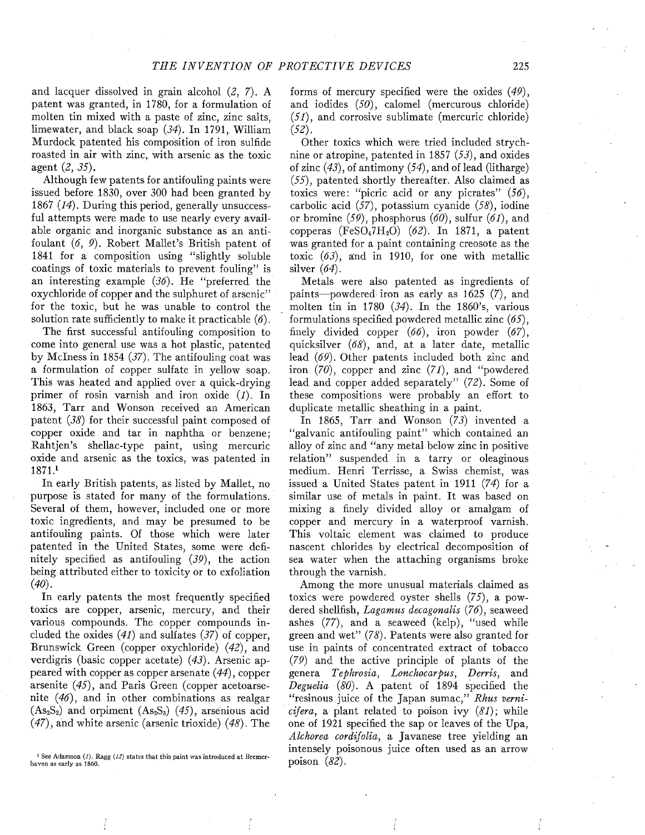and lacquer dissolved in grain alcohol (2, 7). A patent was granted, in 1780, for a formulation of molten tin mixed with a paste of zinc, zinc salts, limewater, and black soap (34). In 1791, Wiliam Murdock patented his composition of iron sulfide roasted in air with zinc, with arsenic as the toxic agent (2, 35).

Although few patents for antifouling paints were issued before 1830, over 300 had been granted by 1867 (14). During this period, generally unsuccessful attempts were made to use nearly every available organic and inorganic substance as an antifoulant (6, 9). Robert Mallet's British patent of 1841 for a composition using "slightly soluble coatings of toxic materials to prevent fouling" is an interesting example  $(36)$ . He "preferred the oxychloride of copper and the sulphuret of arsenic" for the toxic, but he was unable to control the solution rate sufficiently to make it practicable  $(6)$ .

The fist successful antifouling composition to come into general use was a hot plastic, patented by McIness in 1854 (37). The antifouling coat was a formulation of copper sulfate in yellow soap. This was heated and applied over a quick-drying primer of rosin varnish and iron oxide (1). In 1863, Tarr and Wonson received an American patent (38) for their successful paint composed of copper oxide and tar in naphtha or benzene; Rahtjen's shellac-type paint, using mercuric oxide and arsenic as the toxics, was patented in 187i.

In early British patents, as listed by Mallet, no purpose is stated for many of the formulations. Several of them, however, included one or more toxic ingredients, and may be presumed to be antifouling paints. Of those which were later patented in the United States, some were definitely specified as antifouling (39), the action being attributed either to toxicity or to exfoliation  $(40).$ 

In early patents the most frequently specified toxics are copper, arsenic, mercury, and their various compounds. The copper compounds included the oxides  $(41)$  and sulfates  $(37)$  of copper, Brunswick Green (copper oxychloride) (42), and verdigris (basic copper acetate) (43). Arsenic appeared with copper as copper arsenate (44), copper arsenite (45), and Paris Green (copper acetoarsenite (46), and in other combinations as realgar  $(As<sub>2</sub>S<sub>2</sub>)$  and orpiment  $(As<sub>2</sub>S<sub>3</sub>)$   $(45)$ , arsenious acid  $(47)$ , and white arsenic (arsenic trioxide)  $(48)$ . The

forms of mercury specified were the oxides (49), and iodides (50), calomel (mercurous chloride) (51), and corrosive sublimate (mercuric chloride) (52).

Other toxics which were tried included strychnine or atropine, patented in 1857 (53), and oxides of zinc  $(43)$ , of antimony  $(54)$ , and of lead (litharge) (55), patented shortly thereafter. Also claimed as toxics were: "picric acid or any picrates"  $(56)$ , carbolic acid (57), potassium cyanide (58), iodine or bromine  $(59)$ , phosphorus  $(60)$ , sulfur  $(61)$ , and copperas  $(FeSO_47H_2O)$  (62). In 1871, a patent was granted for a paint containing creosote as the toxic  $(63)$ , and in 1910, for one with metallic silver  $(64)$ .

Metals were also patented as ingredients of paints-powdered iron as early as 1625 (7), and molten tin in 1780 (34). In the 1860's, various formulations specified powdered metallic zinc (65), finely divided copper  $(66)$ , iron powder  $(67)$ , quicksilver  $(68)$ , and, at a later date, metallic lead (69). Other patents included both zinc and iron (70), copper and zinc (71), and "powdered lead and copper added separately" (72). Some of these compositions were probably an effort to duplicate metallic sheathing in a paint.

In 1865, Tarr and Wonson (73) invented a "galvanic antifouling paint" which contained an alloy of zinc and "any metal below zinc in positive relation" suspended in a tarry or oleaginous medium. Henri Terrisse, a Swiss chemist, was issued a United States patent in 1911 (74) for a similar use of metals in paint. It was based on mixing a finely divided alloy or amalgam of copper and mercury in a waterproof varnish. This voltaic element was claimed to produce nascent chlorides by electrical decomposition of sea water when the attaching organisms broke through the varnish.

Among the more unusual materials claimed as toxics were powdered oyster shells (75), a powdered shellfish, Lagamus decagonalis (76), seaweed ashes (77), and a seaweed (kelp), "used while green and wet" (78). Patents were also granted for use in paints of concentrated extract of tobacco (79) and the active principle of plants of the genera Tephrosia, Lonchocarpus, Derris, and Deguelia (80). A patent of 1894 specified the "resinous juice of the Japan sumac," Rhus verni*cifera*, a plant related to poison ivy  $(81)$ ; while one of 1921 specified the sap or leaves of the Upa, Alchorea cordifolia, a Javanese tree yielding an intensely poisonous juice often used as an arrow poison  $(82)$ .

<sup>&</sup>lt;sup>1</sup> See Adamson (1), Ragg (12) states that this paint was introduced at Bremerhaven as early as 1860.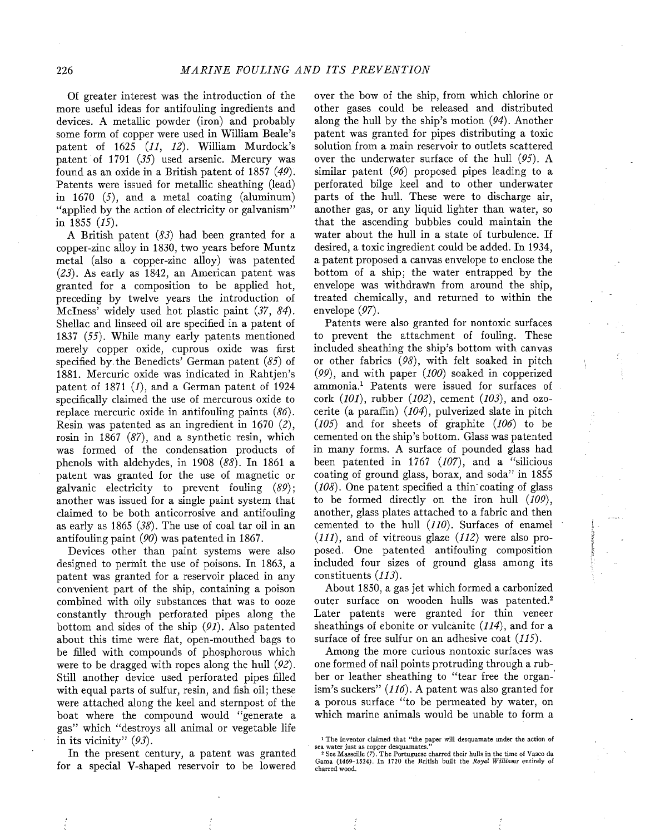Of greater interest was the introduction of the more useful ideas for antifouling ingredients and devices. A metallic powder (iron) and probably some form of copper were used in Wiliam Beale's patent of  $1625$   $(11, 12)$ . William Murdock's patent of 1791 (35) used arsenic. Mercury was found as an oxide in a British patent of 1857 (49). Patents were issued for metallic sheathing (lead) in 1670  $(5)$ , and a metal coating (aluminum) "applied by the action of electricity or galvanism" in 1855  $(15)$ .

A British patent (83) had been granted for a copper-zinc alloy in 1830, two years before Muntz metal (also a copper-zinc alloy) was patented (23). As early as 1842, an American patent was granted for a composition to be applied hot, preceding by twelve years the introduction of McIness' widely used hot plastic paint (37, 84). Shellac and linseed oil are specified in a patent of 1837  $(55)$ . While many early patents mentioned merely copper oxide, cuprous oxide was first specified by the Benedicts' German patent  $(85)$  of 1881. Mercuric oxide was indicated in Rahtjen's patent of 1871  $(I)$ , and a German patent of 1924 specifically claimed the use of mercurous oxide to replace mercuric oxide in antifouling paints (86). Resin was patented as an ingredient in 1670 (2), rosin in 1867 (87), and a synthetic resin, which was formed of the condensation products of phenols with aldehydes, in 1908 (88). In 1861 a patent was granted for the use of magnetic or galvanic electricity to prevent fouling (89); another was issued for a single paint system that claimed to be both anticorrosive and antifouling as early as 1865 (38). The use of coal tar oil in an antifouling paint (90) was patented in 1867.

Devices other than paint systems were also designed to permit the use of poisons. In 1863, a patent was granted for a reservoir placed in any convenient part of the ship, containing a poison combined with oily substances that was to ooze constantly through perforated pipes along the bottom and sides of the ship  $(91)$ . Also patented about this time were flat, open-mouthed bags to be filed with compounds of phosphorous which were to be dragged with ropes along the hull (92). Still another device used perforated pipes filled with equal parts of sulfur, resin, and fish oil; these were attached along the keel and sternpost of the boat where the compound would "generate a gas" which "destroys all animal or vegetable life in its vicinity"  $(93)$ .

In the present century, a patent was granted for a special V-shaped reservoir to be lowered over the bow of the ship, from which chlorine or other gases could be released and distributed along the hull by the ship's motion  $(94)$ . Another patent was granted for pipes distributing a toxic solution from a main reservoir to outlets scattered over the underwater surface of the hull (95). A similar patent (96) proposed pipes leading to a perforated bilge keel and to other underwater parts of the hulL. These were to discharge air, another gas, or any liquid lighter than water, so that the ascending bubbles could maintain the water about the hull in a state of turbulence. If desired, a toxic ingredient could be added. In 1934, a patent proposed a canvas envelope to enclose the bottom of a ship; the water entrapped by the envelope was withdrawn from around the ship, treated chemically, and returned to within the envelope (97).

Patents were also granted for nontoxic surfaces to prevent the attachment of fouling. These included sheathing the ship's bottom with canvas or other fabrics (98), with felt soaked in pitch  $(99)$ , and with paper  $(100)$  soaked in copperized ammonia.1 Patents were issued for surfaces of cork  $(101)$ , rubber  $(102)$ , cement  $(103)$ , and ozocerite (a paraffin)  $(104)$ , pulverized slate in pitch (105) and for sheets of graphite (106) to be cemented on the ship's bottom. Glass was patented in many forms. A surface of pounded glass had been patented in 1767  $(107)$ , and a "silicious coating of ground glass, borax, and soda" in 185'5  $(108)$ . One patent specified a thin coating of glass to be formed directly on the iron hull (109), another, glass plates attached to a fabric and then cemented to the hull (110). Surfaces of enamel  $(111)$ , and of vitreous glaze  $(112)$  were also proposed. One patented antifouling composition included four sizes of ground glass among its constituents (113).

About 1850, a gas jet which formed a carbonized outer surface on wooden hulls was patented.2 Later patents were granted for thin veneer sheathings of ebonite or vulcanite  $(114)$ , and for a surface of free sulfur on an adhesive coat (115).

Among the more curious nontoxic surfaces was one formed of nail points protruding through a rubber or leather sheathing to "tear free the organ-' ism's suckers"  $(116)$ . A patent was also granted for a porous surface "to be permeated by water, on which marine animals would be unable to form a

<sup>1</sup> The inventor claimed that "the paper wil desquamate under the action of sea water just as copper desquamates.

<sup>&</sup>lt;sup>2</sup> See Masseille (7). The Portuguese charred their hulls in the time of Vasco da Gama (1469-1524). In 1720 the British built the Royal Williams entirely of charred wood.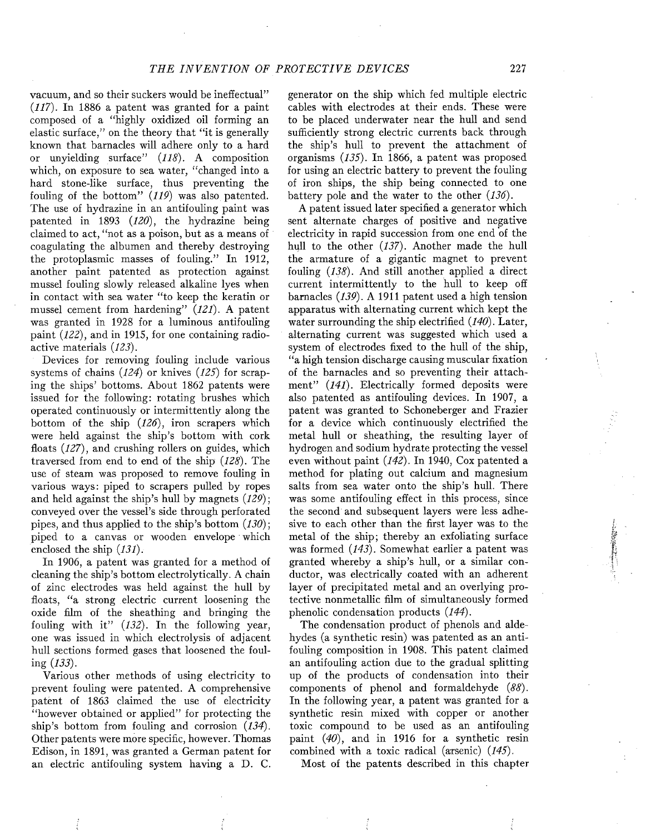vacuum, and so their suckers would be ineffectual" (117). In 1886 a patent was granted for a paint composed of a "highly oxidized oil forming an elastic surface," on the theory that "it is generally known that barnacles will adhere only to a hard or unyielding surface" (118). A composition which, on exposure to sea water, "changed into a hard stone-like surface, thus preventing the fouling of the bottom" (119) was also patented. The use of hydrazine in an antifouling paint was patented in 1893 (120), the hydrazine being claimed to act, "not as a poison, but as a means of coagulating the albumen and thereby destroying the protoplasmic masses of fouling." In 1912, another paint patented as protection against mussel fouling slowly released alkaline lyes when in contact with sea water "to keep the keratin or mussel cement from hardening" (121). A patent was granted in 1928 for a luminous antifouling paint (122), and in 1915, for one containing radioactive materials (123).

Devices for removing fouling include various systems of chains  $(124)$  or knives  $(125)$  for scraping the ships' bottoms. About 1862 patents were issued for the following: rotating brushes which operated continuously or intermittently along the bottom of the ship  $(126)$ , iron scrapers which were held against the ship's bottom with cork floats  $(127)$ , and crushing rollers on guides, which traversed from end to end of the ship (128). The use of steam was proposed to remove fouling in various ways: piped to scrapers pulled by ropes and held against the ship's hull by magnets  $(129)$ ; conveyed over the vessel's side through perforated pipes, and thus applied to the ship's bottom  $(130)$ ; piped to a canvas or wooden envelope which enclosed the ship (131).

In 1906, a patent was granted for a method of cleaning the ship's bottom electrolytically. A chain of zinc electrodes was held against the hull by floats, "a strong electric current loosening the oxide fim of the sheathing and bringing the fouling with it"  $(132)$ . In the following year, one was issued in which electrolysis of adjacent hull sections formed gases that loosened the fouling  $(133)$ .

Various other methods of using electricity to prevent fouling were patented. A comprehensive patent of 1863 claimed the use of electricity "however obtained or applied" for protecting the ship's bottom from fouling and corrosion (134). Other patents were more specific, however. Thomas Edison, in 1891, was granted a German patent for an electric antifouling system having a D. C.

generator on the ship which fed multiple electric cables with electrodes at their ends. These were to be placed underwater near the hull and send sufficiently strong electric currents back through the ship's hull to prevent the attachment of organisms (135). In 1866, a patent was proposed for using an electric battery to prevent the fouling of iron ships, the ship being connected to one battery pole and the water to the other  $(136)$ .

A patent issued later specified a generator which sent alternate charges of positive and negative electricity in rapid succession from one end of the hull to the other  $(137)$ . Another made the hull the armature of a gigantic magnet to prevent fouling  $(138)$ . And still another applied a direct current intermittently to the hull to keep off barnacles (139). A 1911 patent used a high tension apparatus with alternating current which kept the water surrounding the ship electrified  $(140)$ . Later, alternating current was suggested which used a system of electrodes fixed to the hull of the ship, "a high tension discharge causing muscular fiation of the barnacles and so preventing their attachment" (141). Electrically formed deposits were also patented as antifouling devices. In 1907, a patent was granted to Schoneberger and Frazier for a device which continuously electrified the metal hull or sheathing, the resulting layer of hydrogen and sodium hydrate protecting the vessel even without paint (142). In 1940, Cox patented a method for plating out calcium and magnesium salts from sea water onto the ship's hulL. There was some antifouling effect in this process, since the second and subsequent layers were less adhesive to each other than the first layer was to the metal of the ship; thereby an exfoliating surface was formed (143). Somewhat earlier a patent was granted whereby a ship's hull, or a similar conductor, was electrically coated with an adherent layer of precipitated metal and an overlying protective nonmetallic film of simultaneously formed phenolic condensation products (144).

The condensation product of phenols and aldehydes (a synthetic resin) was patented as an antifouling composition in 1908. This patent claimed an antifouling action due to the gradual splitting up of the products of condensation into their components of phenol and formaldehyde (88). In the following year, a patent was granted for a synthetic resin mixed with copper or another toxic compound to be used as an antifouling paint (40), and in 1916 for a synthetic resin combined with a toxic radical (arsenic) (145).

Most of the patents described in this chapter

tribute Line n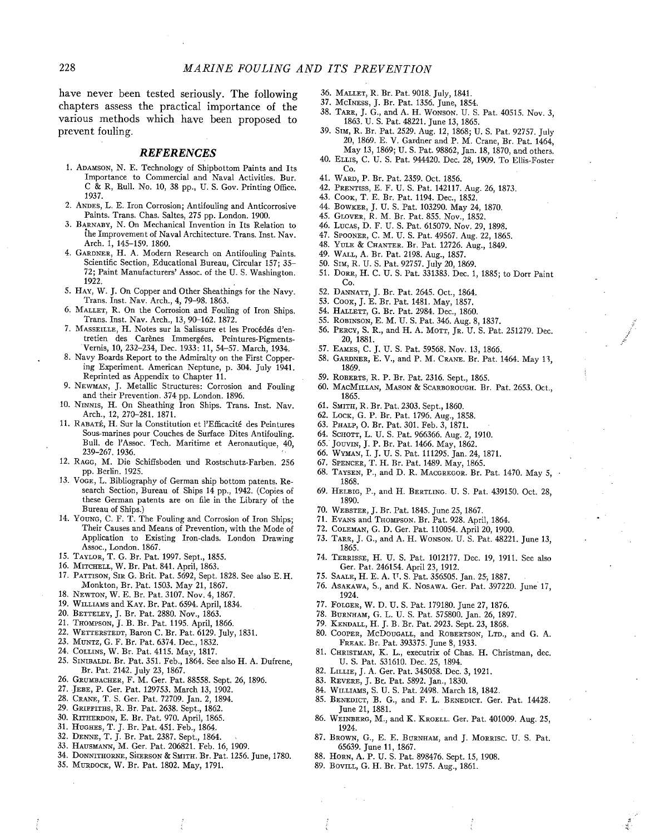have never been tested seriously. The following chapters assess the practical importance of the various methods which have been proposed to prevent fouling.

## REFERENCES

- 1. ADAMSON, N. E. Technology of Shipbottom Paints and Its Importance to Commercial and Naval Activities. Bur. C & R, Bull. No. 10, 38 pp., U. S. Gov. Printing Offce. 1937.
- 2. ANDES, L. E. Iron Corrosion; Antifouling and Anticorrosive Paints. Trans. Chas. Saltes, 275 pp. London. 1900.
- 3. BARNABY, N. On Mechanical Invention in Its Relation to the Improvement of Naval Architecture. Trans. Inst. Nav. Arch. 1, 145-159. 1860.
- 4. GARDNER, H. A. Modern Research on Antifouling Paints. Scientific Section, Educational Bureau, Circular 157; 35- 72; Paint Manufacturers' Assoc. of the U. S. Washington. 1922.
- 5. HAY, W. J. On Copper and Other Sheathings for the Navy. Trans. Inst. Nav. Arch., 4, 79-98. 1863.
- 6. MALLET, R. On the Corrosion and Fouling of Iron Ships. Trans. Inst. Nav. Arch., 13,90-162.1872.
- 7. MASSEILLE,H. Notes sur la Salissure et les Procédés d'entretien des Carènes Immergées. Peintures-Pigments- Vernis, 10, 232-234, Dec. 1933: 11, 54-57. March, 1934.
- 8. Navy Boards Report to the Admiralty on the First Coppering Experiment. American Neptune, p. 304. July 1941. Reprinted as Appendix to Chapter 11.
- 9. NEWMAN, J. Metallic Structures: Corrosion and Fouling and their Prevention. 374 pp. London. 1896.
- 10. NINNIS, H. On Sheathing Iron Ships. Trans. Inst. Nav. Arch., 12, 270-281. 1871.
- 11. RABATÉ, H. Sur la Constitution et I'Effcacité des Peintures Sous-marines pour Couches de Surface Dites Antifouling. Bull. de l'Assoc. Tech. Maritime et Aeronautique, 40, 239-267. 1936.
- 12. RAGG, M. Die Schiffsboden und Rostschutz-Farben. 256 pp. Berlin. 1925.
- 13. VOGE, L. Bibliography of German ship bottom patents. Research Section, Bureau of Ships 14 pp., 1942. (Copies of these German patents are on file in the Library of the Bureau of Ships.)
- 14. YOUNG, C. F. T. The Fouling and Corrosion of Iron Ships; Their Causes and Means of Prevention, with the Mode of Application to Existing Iron-clads. London Drawing Assoc., London. 1867.
- 15. TAYLOR, T. G. Br. Pat. 1997. Sept., 1855.
- 16. MITCHELL, W. Br. Pat. 841. April, 1863.
- 17. PATTISON, SIR G. Brit. Pat. 5692, Sept. 1828. See also E.H. Monkton, Br. Pat. 1503. May 21, 1867.
- 18. NEWTON, W. E. Br. Pat. 3107. Nov. 4, 1867.
- 19. WILLIAMS and KAY. Br. Pat. 6594. April, 1834.
- 20. BETTELEY, J. Br. Pat. 2880. Nov., 1863.
- 21. THOMPSON, J. B. Br. Pat. 1195. April, 1866.
- 22. WETTERSTEDT, Baron C. Br. Pat. 6129. July, 1831.
- 23. MUNTZ, G. F. Br. Pat. 6374. Dec., 1832.
- 24. COLLINS, W. Br. Pat. 4115. May, 1817.
- 25. SINIBALDI. Br. Pat. 351. Feb., 1864. See also H. A. Dufrene, Br. Pat. 2142. July 23, 1867.
- 26. GRUMACHER, F. M. Ger. Pat. 88558. Sept. 26, 1896.
- 27. JEBE, P. Ger. Pat. 129753. March 13, 1902.
- 28. CRANE, T. S. Ger. Pat. 72709. Jan. 2, 1894.
- 29. GRIFFITHS, R. Br. Pat. 2638. Sept., 1862.
- 30. RITHERDON, E. Br. Pat. 970. April, 1865.
- 31. HUGHES, T. J. Br. Pat. 451. Feb., 1864.
- 32. DENNE, T. J. Br. Pat. 2387. Sept., 1864.
- 33. HAUSMAN, M. Ger. Pat. 206821. Feb. 16, 1909.
- 34. DONNITHORNE, SHERSON & SMITH. Br. Pat. 1256. June, 1780.
- 35. MURDOCK, W. Br. Pat. 1802. May, 1791.
- 36. MALLET, R. Br. Pat. 9018. July, 1841.
- 37. McINESS, J. Br. Pat. 1356. June, 1854.
- 38. TARR, J. G., and A. H. WONSON. U. S. Pat. 40515. Nov. 3, 1863. U. S. Pat. 48221. June 13, 1865.
- 39. Sm, R. Br. Pat. 2529. Aug. 12, 1868; U. S. Pat, 92757. July 20, 1869. E. V. Gardner and P. M. Crane, Br. Pat. 1464, May 13, 1869; U. S. Pat. 98862, Jan. 18, 1870, and others.
- 40. ELLIS, C. U. S. Pat. 94420. Dec. 28, 1909. To Ells-Foster Co.
- 41. WARD, P. Br. Pat. 2359. Oct. 1856.
- 42. PRENTISS, E. F. U. S. Pat. 142117. Aug. 26, 1873.
- 43. COOK, T. E. Br. Pat. 1194. Dec., 1852.
- 44. BOWKER, J. U. S. Pat. 103290. May 24, 1870.
- 45. GLOVER, R. M. Br. Pat. 855. Nov., 1852.
- 46. LUCAS, D. F. U. S. Pat. 615079. Nov. 29, 1898.
- 47. SPOONER, C. M. U. S. Pat. 49567. Aug. 22, 1865.
- 48. YULE & CHANTER. Br. Pat. 12726. Aug., 1849.
- 49. WALL, A. Br. Pat. 2198. Aug., 1857.
- 50. SIM, R. U. S. Pat. 92757. July 20, 1869.
- 51. DORR, H. C. U. S. Pat. 331383. Dec. 1, 1885; to Dorr Paint Co.
- 52. DANATT, J. Br. Pat. 2645. Oct., 1864.
- 53. COOK, J. E. Br. Pat. 1481. May, 1857.
- 54. HALLETT, G. Br. Pat. 2984. Dec., 1860.
- 55. ROBINSON, E. M. U. S. Pat. 346. Aug. 8, 1837.
- 
- 56. PERCY, S. R., and H. A. MOTT, JR. U. S. Pat. 251279. Dec. 20, 1881.
- 57. EAMS, C. J. U. S. Pat. 59568. Nov. 13, 1866.
- 58. GARDNER, E. V., and P. M. CRANE. Br. Pat. 1464. May 13, 1869.
- 59. ROBERTS, R. P. Br. Pat. 2316. Sept., 1865.
- 60. MACMILLAN, MASON & SCARBOROUGH. Br. Pat. 2653. Oct., 1865.
- 61. SMITH, R. Br. Pat. 2303. Sept., 1860.
- 62. LOCK, G. P. Br. Pat. 1796. Aug., 1858.
- 63. PHALP, O. Br. Pat. 301. Feb. 3, 1871.
- 64. SCHOTT, L. U. S. Pat. 966366. Aug. 2, 1910.
- 65. JOUVIN, J. P. Br. Pat. 1466. May, 1862.
- 66. WYMAN, I. J. U. S. Pat. 111295. Jan. 24, 1871.
- 67. SPENCER, T. H. Br. Pat. 1489. May, 1865.
- 68. TAYSEN, P., and D. R. MACGREGOR. Br. Pat. 1470. May 5, 1868.
- 69. HELBIG, P., and H. BERTLING. U. S. Pat. 439150. Oct. 28, 1890.
- 70. WEBSTER, J. Br. Pat. 1845. June 25, 1867.
- 71. EVANS and THOMPSON. Br. Pat. 928. April, 1864.
- 72. COLEMAN, G. D. Ger. Pat. 110054. April 20, 1900.
- 73. TARR, J. G., and A. H. WONSON. U. S. Pat. 48221. June 13, 1865.
- 74. TERRISSE, H. U. S. Pat. 1012177. Dec. 19, 1911. See also Ger. Pat. 246154. April 23, 1912.
- 75. SAALE, H. E. A. F. S, Pat. 356505. Jan. 25, 1887.
- 76. ASAKAWA, S., and K. NOSAWA. Ger. Pat. 397220. June 17, 1924.
- 77. FOLGER, W. D. U. S. Pat. 179180. June 27, 1876.
- 78. BURNHAM, G. L. U. S. Pat. 575800. Jan. 26, 1897.
- 79. KENDALL, H. J. B. Br. Pat. 2923. Sept. 23, 1868.
- 80. COOPER, McDOUGALL, and ROBERTSON, LTD., and G. A.
- FREAK. Br. Pat. 393375. June 8, 1933.
- 81. CHRISTMAN, K. L., executrix of Chas. H. Christman, dec. U. S. Pat. 531610. Dec. 25, 1894.
- 82. LILLIE, J. A. Ger. Pat. 345058. Dec. 3, 1921.
- 83. REVERE, J. Br. Pat. 5892. Jan., 1830.
- 84. WILLIAMS, S. U. S. Pat. 2498. March 18, 1842.
- 85. BENEDICT, B. G., and F. L. BENEDICT. Ger. Pat. 14428. June 21, 1881.
- 86. WEINBERG, M., and K. KROELL. Ger. Pat. 401009. Aug. 25, 1924.
- 87. BROWN, G., E. E. BURNHAM, and J. MORRISC. U. S. Pat. 65639. June 11, 1867.
- 88. HORN, A. P. U. S. Pat. 898476. Sept. 15, 1908.
- 89. BOVILL, G. H. Br. Pat. 1975. Aug., 1861.